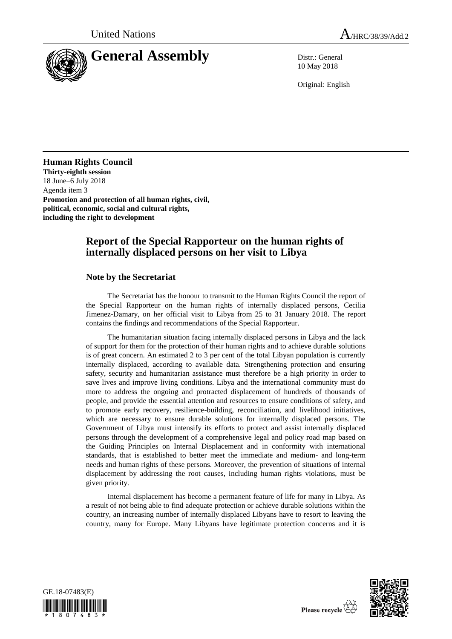

10 May 2018

Original: English

## **Human Rights Council**

**Thirty-eighth session** 18 June–6 July 2018 Agenda item 3 **Promotion and protection of all human rights, civil, political, economic, social and cultural rights, including the right to development**

# **Report of the Special Rapporteur on the human rights of internally displaced persons on her visit to Libya**

## **Note by the Secretariat**

The Secretariat has the honour to transmit to the Human Rights Council the report of the Special Rapporteur on the human rights of internally displaced persons, Cecilia Jimenez-Damary, on her official visit to Libya from 25 to 31 January 2018. The report contains the findings and recommendations of the Special Rapporteur.

The humanitarian situation facing internally displaced persons in Libya and the lack of support for them for the protection of their human rights and to achieve durable solutions is of great concern. An estimated 2 to 3 per cent of the total Libyan population is currently internally displaced, according to available data. Strengthening protection and ensuring safety, security and humanitarian assistance must therefore be a high priority in order to save lives and improve living conditions. Libya and the international community must do more to address the ongoing and protracted displacement of hundreds of thousands of people, and provide the essential attention and resources to ensure conditions of safety, and to promote early recovery, resilience-building, reconciliation, and livelihood initiatives, which are necessary to ensure durable solutions for internally displaced persons. The Government of Libya must intensify its efforts to protect and assist internally displaced persons through the development of a comprehensive legal and policy road map based on the Guiding Principles on Internal Displacement and in conformity with international standards, that is established to better meet the immediate and medium- and long-term needs and human rights of these persons. Moreover, the prevention of situations of internal displacement by addressing the root causes, including human rights violations, must be given priority.

Internal displacement has become a permanent feature of life for many in Libya. As a result of not being able to find adequate protection or achieve durable solutions within the country, an increasing number of internally displaced Libyans have to resort to leaving the country, many for Europe. Many Libyans have legitimate protection concerns and it is



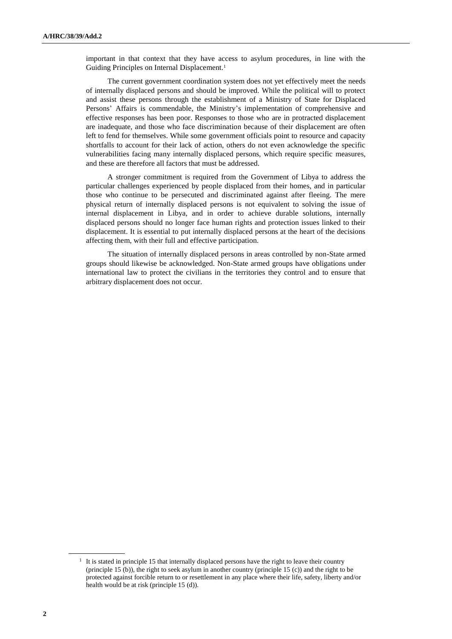important in that context that they have access to asylum procedures, in line with the Guiding Principles on Internal Displacement.<sup>1</sup>

The current government coordination system does not yet effectively meet the needs of internally displaced persons and should be improved. While the political will to protect and assist these persons through the establishment of a Ministry of State for Displaced Persons' Affairs is commendable, the Ministry's implementation of comprehensive and effective responses has been poor. Responses to those who are in protracted displacement are inadequate, and those who face discrimination because of their displacement are often left to fend for themselves. While some government officials point to resource and capacity shortfalls to account for their lack of action, others do not even acknowledge the specific vulnerabilities facing many internally displaced persons, which require specific measures, and these are therefore all factors that must be addressed.

A stronger commitment is required from the Government of Libya to address the particular challenges experienced by people displaced from their homes, and in particular those who continue to be persecuted and discriminated against after fleeing. The mere physical return of internally displaced persons is not equivalent to solving the issue of internal displacement in Libya, and in order to achieve durable solutions, internally displaced persons should no longer face human rights and protection issues linked to their displacement. It is essential to put internally displaced persons at the heart of the decisions affecting them, with their full and effective participation.

The situation of internally displaced persons in areas controlled by non-State armed groups should likewise be acknowledged. Non-State armed groups have obligations under international law to protect the civilians in the territories they control and to ensure that arbitrary displacement does not occur.

<sup>&</sup>lt;sup>1</sup> It is stated in principle 15 that internally displaced persons have the right to leave their country (principle 15 (b)), the right to seek asylum in another country (principle 15 (c)) and the right to be protected against forcible return to or resettlement in any place where their life, safety, liberty and/or health would be at risk (principle 15 (d)).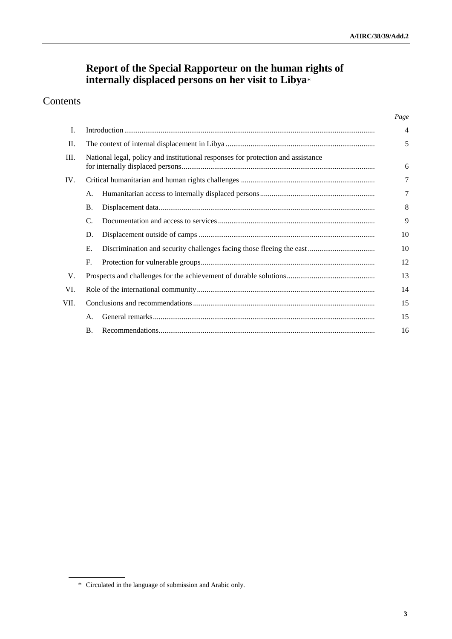# **Report of the Special Rapporteur on the human rights of internally displaced persons on her visit to Libya**\*

# Contents

|      |                                                                                  |  | Page           |
|------|----------------------------------------------------------------------------------|--|----------------|
| Ι.   |                                                                                  |  | $\overline{4}$ |
| П.   |                                                                                  |  | 5              |
| Ш.   | National legal, policy and institutional responses for protection and assistance |  | 6              |
| IV.  |                                                                                  |  | 7              |
|      | А.                                                                               |  | 7              |
|      | Β.                                                                               |  | 8              |
|      | C.                                                                               |  | 9              |
|      | D.                                                                               |  | 10             |
|      | Е.                                                                               |  | 10             |
|      | F.                                                                               |  | 12             |
| V.   |                                                                                  |  | 13             |
| VI.  |                                                                                  |  | 14             |
| VII. |                                                                                  |  | 15             |
|      | А.                                                                               |  | 15             |
|      | <b>B.</b>                                                                        |  | 16             |

<sup>\*</sup> Circulated in the language of submission and Arabic only.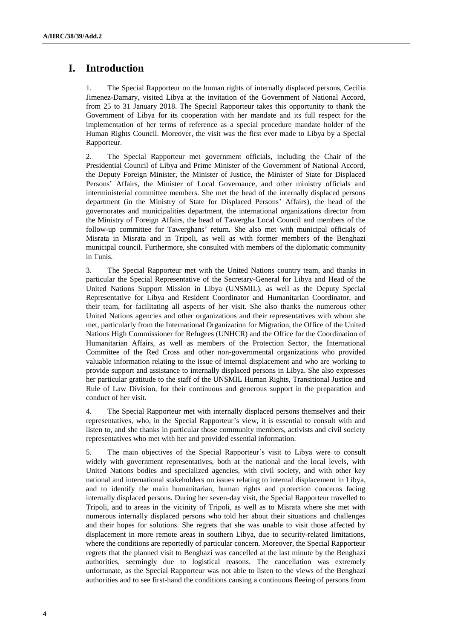# **I. Introduction**

1. The Special Rapporteur on the human rights of internally displaced persons, Cecilia Jimenez-Damary, visited Libya at the invitation of the Government of National Accord, from 25 to 31 January 2018. The Special Rapporteur takes this opportunity to thank the Government of Libya for its cooperation with her mandate and its full respect for the implementation of her terms of reference as a special procedure mandate holder of the Human Rights Council. Moreover, the visit was the first ever made to Libya by a Special Rapporteur.

2. The Special Rapporteur met government officials, including the Chair of the Presidential Council of Libya and Prime Minister of the Government of National Accord, the Deputy Foreign Minister, the Minister of Justice, the Minister of State for Displaced Persons' Affairs, the Minister of Local Governance, and other ministry officials and interministerial committee members. She met the head of the internally displaced persons department (in the Ministry of State for Displaced Persons' Affairs), the head of the governorates and municipalities department, the international organizations director from the Ministry of Foreign Affairs, the head of Tawergha Local Council and members of the follow-up committee for Tawerghans' return. She also met with municipal officials of Misrata in Misrata and in Tripoli, as well as with former members of the Benghazi municipal council. Furthermore, she consulted with members of the diplomatic community in Tunis.

3. The Special Rapporteur met with the United Nations country team, and thanks in particular the Special Representative of the Secretary-General for Libya and Head of the United Nations Support Mission in Libya (UNSMIL), as well as the Deputy Special Representative for Libya and Resident Coordinator and Humanitarian Coordinator, and their team, for facilitating all aspects of her visit. She also thanks the numerous other United Nations agencies and other organizations and their representatives with whom she met, particularly from the International Organization for Migration, the Office of the United Nations High Commissioner for Refugees (UNHCR) and the Office for the Coordination of Humanitarian Affairs, as well as members of the Protection Sector, the International Committee of the Red Cross and other non-governmental organizations who provided valuable information relating to the issue of internal displacement and who are working to provide support and assistance to internally displaced persons in Libya. She also expresses her particular gratitude to the staff of the UNSMIL Human Rights, Transitional Justice and Rule of Law Division, for their continuous and generous support in the preparation and conduct of her visit.

4. The Special Rapporteur met with internally displaced persons themselves and their representatives, who, in the Special Rapporteur's view, it is essential to consult with and listen to, and she thanks in particular those community members, activists and civil society representatives who met with her and provided essential information.

5. The main objectives of the Special Rapporteur's visit to Libya were to consult widely with government representatives, both at the national and the local levels, with United Nations bodies and specialized agencies, with civil society, and with other key national and international stakeholders on issues relating to internal displacement in Libya, and to identify the main humanitarian, human rights and protection concerns facing internally displaced persons. During her seven-day visit, the Special Rapporteur travelled to Tripoli, and to areas in the vicinity of Tripoli, as well as to Misrata where she met with numerous internally displaced persons who told her about their situations and challenges and their hopes for solutions. She regrets that she was unable to visit those affected by displacement in more remote areas in southern Libya, due to security-related limitations, where the conditions are reportedly of particular concern. Moreover, the Special Rapporteur regrets that the planned visit to Benghazi was cancelled at the last minute by the Benghazi authorities, seemingly due to logistical reasons. The cancellation was extremely unfortunate, as the Special Rapporteur was not able to listen to the views of the Benghazi authorities and to see first-hand the conditions causing a continuous fleeing of persons from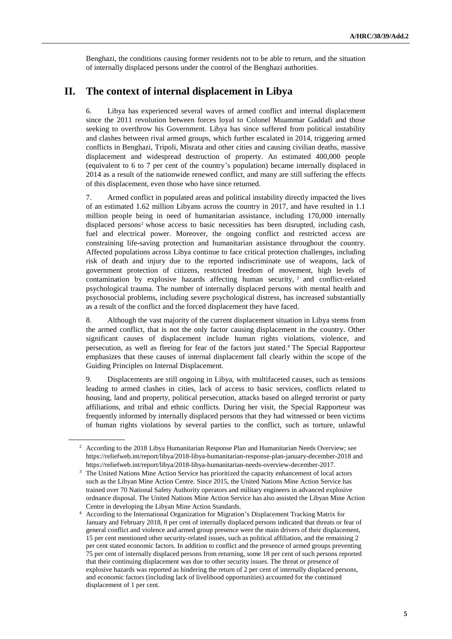Benghazi, the conditions causing former residents not to be able to return, and the situation of internally displaced persons under the control of the Benghazi authorities.

## **II. The context of internal displacement in Libya**

6. Libya has experienced several waves of armed conflict and internal displacement since the 2011 revolution between forces loyal to Colonel Muammar Gaddafi and those seeking to overthrow his Government. Libya has since suffered from political instability and clashes between rival armed groups, which further escalated in 2014, triggering armed conflicts in Benghazi, Tripoli, Misrata and other cities and causing civilian deaths, massive displacement and widespread destruction of property. An estimated 400,000 people (equivalent to 6 to 7 per cent of the country's population) became internally displaced in 2014 as a result of the nationwide renewed conflict, and many are still suffering the effects of this displacement, even those who have since returned.

7. Armed conflict in populated areas and political instability directly impacted the lives of an estimated 1.62 million Libyans across the country in 2017, and have resulted in 1.1 million people being in need of humanitarian assistance, including 170,000 internally displaced persons<sup>2</sup> whose access to basic necessities has been disrupted, including cash, fuel and electrical power. Moreover, the ongoing conflict and restricted access are constraining life-saving protection and humanitarian assistance throughout the country. Affected populations across Libya continue to face critical protection challenges, including risk of death and injury due to the reported indiscriminate use of weapons, lack of government protection of citizens, restricted freedom of movement, high levels of contamination by explosive hazards affecting human security, <sup>3</sup> and conflict-related psychological trauma. The number of internally displaced persons with mental health and psychosocial problems, including severe psychological distress, has increased substantially as a result of the conflict and the forced displacement they have faced.

8. Although the vast majority of the current displacement situation in Libya stems from the armed conflict, that is not the only factor causing displacement in the country. Other significant causes of displacement include human rights violations, violence, and persecution, as well as fleeing for fear of the factors just stated.<sup>4</sup> The Special Rapporteur emphasizes that these causes of internal displacement fall clearly within the scope of the Guiding Principles on Internal Displacement.

9. Displacements are still ongoing in Libya, with multifaceted causes, such as tensions leading to armed clashes in cities, lack of access to basic services, conflicts related to housing, land and property, political persecution, attacks based on alleged terrorist or party affiliations, and tribal and ethnic conflicts. During her visit, the Special Rapporteur was frequently informed by internally displaced persons that they had witnessed or been victims of human rights violations by several parties to the conflict, such as torture, unlawful

<sup>&</sup>lt;sup>2</sup> According to the 2018 Libya Humanitarian Response Plan and Humanitarian Needs Overview; see <https://reliefweb.int/report/libya/2018-libya-humanitarian-response-plan-january-december-2018> and https://reliefweb.int/report/libya/2018-libya-humanitarian-needs-overview-december-2017.

<sup>3</sup> The United Nations Mine Action Service has prioritized the capacity enhancement of local actors such as the Libyan Mine Action Centre. Since 2015, the United Nations Mine Action Service has trained over 70 National Safety Authority operators and military engineers in advanced explosive ordnance disposal. The United Nations Mine Action Service has also assisted the Libyan Mine Action Centre in developing the Libyan Mine Action Standards.

<sup>4</sup> According to the International Organization for Migration's Displacement Tracking Matrix for January and February 2018, 8 per cent of internally displaced persons indicated that threats or fear of general conflict and violence and armed group presence were the main drivers of their displacement, 15 per cent mentioned other security-related issues, such as political affiliation, and the remaining 2 per cent stated economic factors. In addition to conflict and the presence of armed groups preventing 75 per cent of internally displaced persons from returning, some 18 per cent of such persons reported that their continuing displacement was due to other security issues. The threat or presence of explosive hazards was reported as hindering the return of 2 per cent of internally displaced persons, and economic factors (including lack of livelihood opportunities) accounted for the continued displacement of 1 per cent.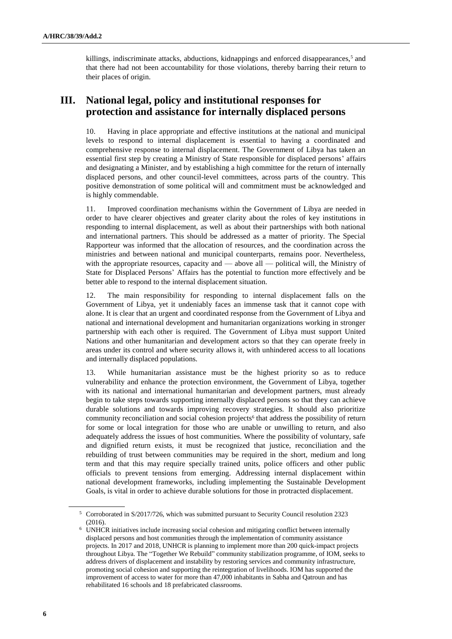killings, indiscriminate attacks, abductions, kidnappings and enforced disappearances,<sup>5</sup> and that there had not been accountability for those violations, thereby barring their return to their places of origin.

# **III. National legal, policy and institutional responses for protection and assistance for internally displaced persons**

10. Having in place appropriate and effective institutions at the national and municipal levels to respond to internal displacement is essential to having a coordinated and comprehensive response to internal displacement. The Government of Libya has taken an essential first step by creating a Ministry of State responsible for displaced persons' affairs and designating a Minister, and by establishing a high committee for the return of internally displaced persons, and other council-level committees, across parts of the country. This positive demonstration of some political will and commitment must be acknowledged and is highly commendable.

11. Improved coordination mechanisms within the Government of Libya are needed in order to have clearer objectives and greater clarity about the roles of key institutions in responding to internal displacement, as well as about their partnerships with both national and international partners. This should be addressed as a matter of priority. The Special Rapporteur was informed that the allocation of resources, and the coordination across the ministries and between national and municipal counterparts, remains poor. Nevertheless, with the appropriate resources, capacity and — above all — political will, the Ministry of State for Displaced Persons' Affairs has the potential to function more effectively and be better able to respond to the internal displacement situation.

12. The main responsibility for responding to internal displacement falls on the Government of Libya, yet it undeniably faces an immense task that it cannot cope with alone. It is clear that an urgent and coordinated response from the Government of Libya and national and international development and humanitarian organizations working in stronger partnership with each other is required. The Government of Libya must support United Nations and other humanitarian and development actors so that they can operate freely in areas under its control and where security allows it, with unhindered access to all locations and internally displaced populations.

13. While humanitarian assistance must be the highest priority so as to reduce vulnerability and enhance the protection environment, the Government of Libya, together with its national and international humanitarian and development partners, must already begin to take steps towards supporting internally displaced persons so that they can achieve durable solutions and towards improving recovery strategies. It should also prioritize community reconciliation and social cohesion projects<sup>6</sup> that address the possibility of return for some or local integration for those who are unable or unwilling to return, and also adequately address the issues of host communities. Where the possibility of voluntary, safe and dignified return exists, it must be recognized that justice, reconciliation and the rebuilding of trust between communities may be required in the short, medium and long term and that this may require specially trained units, police officers and other public officials to prevent tensions from emerging. Addressing internal displacement within national development frameworks, including implementing the Sustainable Development Goals, is vital in order to achieve durable solutions for those in protracted displacement.

<sup>5</sup> Corroborated in S/2017/726, which was submitted pursuant to Security Council resolution 2323  $(2016)$ .

<sup>6</sup> UNHCR initiatives include increasing social cohesion and mitigating conflict between internally displaced persons and host communities through the implementation of community assistance projects. In 2017 and 2018, UNHCR is planning to implement more than 200 quick-impact projects throughout Libya. The "Together We Rebuild" community stabilization programme, of IOM, seeks to address drivers of displacement and instability by restoring services and community infrastructure, promoting social cohesion and supporting the reintegration of livelihoods. IOM has supported the improvement of access to water for more than 47,000 inhabitants in Sabha and Qatroun and has rehabilitated 16 schools and 18 prefabricated classrooms.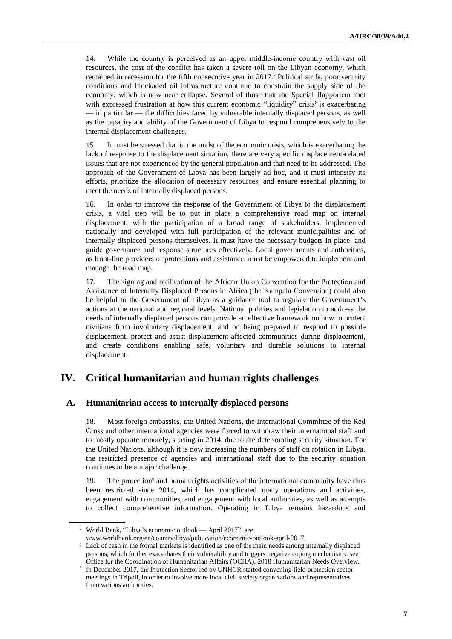14. While the country is perceived as an upper middle-income country with vast oil resources, the cost of the conflict has taken a severe toll on the Libyan economy, which remained in recession for the fifth consecutive year in 2017.<sup>7</sup> Political strife, poor security conditions and blockaded oil infrastructure continue to constrain the supply side of the economy, which is now near collapse. Several of those that the Special Rapporteur met with expressed frustration at how this current economic "liquidity" crisis<sup>8</sup> is exacerbating — in particular — the difficulties faced by vulnerable internally displaced persons, as well as the capacity and ability of the Government of Libya to respond comprehensively to the internal displacement challenges.

15. It must be stressed that in the midst of the economic crisis, which is exacerbating the lack of response to the displacement situation, there are very specific displacement-related issues that are not experienced by the general population and that need to be addressed. The approach of the Government of Libya has been largely ad hoc, and it must intensify its efforts, prioritize the allocation of necessary resources, and ensure essential planning to meet the needs of internally displaced persons.

16. In order to improve the response of the Government of Libya to the displacement crisis, a vital step will be to put in place a comprehensive road map on internal displacement, with the participation of a broad range of stakeholders, implemented nationally and developed with full participation of the relevant municipalities and of internally displaced persons themselves. It must have the necessary budgets in place, and guide governance and response structures effectively. Local governments and authorities, as front-line providers of protections and assistance, must be empowered to implement and manage the road map.

17. The signing and ratification of the African Union Convention for the Protection and Assistance of Internally Displaced Persons in Africa (the Kampala Convention) could also be helpful to the Government of Libya as a guidance tool to regulate the Government's actions at the national and regional levels. National policies and legislation to address the needs of internally displaced persons can provide an effective framework on how to protect civilians from involuntary displacement, and on being prepared to respond to possible displacement, protect and assist displacement-affected communities during displacement, and create conditions enabling safe, voluntary and durable solutions to internal displacement.

## **IV. Critical humanitarian and human rights challenges**

### **A. Humanitarian access to internally displaced persons**

18. Most foreign embassies, the United Nations, the International Committee of the Red Cross and other international agencies were forced to withdraw their international staff and to mostly operate remotely, starting in 2014, due to the deteriorating security situation. For the United Nations, although it is now increasing the numbers of staff on rotation in Libya, the restricted presence of agencies and international staff due to the security situation continues to be a major challenge.

19. The protection<sup>9</sup> and human rights activities of the international community have thus been restricted since 2014, which has complicated many operations and activities, engagement with communities, and engagement with local authorities, as well as attempts to collect comprehensive information. Operating in Libya remains hazardous and

<sup>7</sup> World Bank, "Libya's economic outlook — April 2017"; see

[www.worldbank.org/en/country/libya/publication/economic-outlook-april-2017.](file://///conf-share1/Home/Sanders/Human%20Rights%20Council/www.worldbank.org/en/country/libya/publication/economic-outlook-april-2017)

<sup>8</sup> Lack of cash in the formal markets is identified as one of the main needs among internally displaced persons, which further exacerbates their vulnerability and triggers negative coping mechanisms; see Office for the Coordination of Humanitarian Affairs (OCHA), 2018 Humanitarian Needs Overview.

<sup>9</sup> In December 2017, the Protection Sector led by UNHCR started convening field protection sector meetings in Tripoli, in order to involve more local civil society organizations and representatives from various authorities.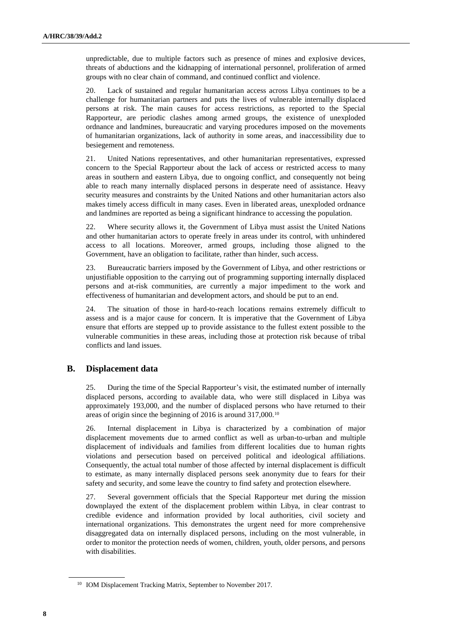unpredictable, due to multiple factors such as presence of mines and explosive devices, threats of abductions and the kidnapping of international personnel, proliferation of armed groups with no clear chain of command, and continued conflict and violence.

20. Lack of sustained and regular humanitarian access across Libya continues to be a challenge for humanitarian partners and puts the lives of vulnerable internally displaced persons at risk. The main causes for access restrictions, as reported to the Special Rapporteur, are periodic clashes among armed groups, the existence of unexploded ordnance and landmines, bureaucratic and varying procedures imposed on the movements of humanitarian organizations, lack of authority in some areas, and inaccessibility due to besiegement and remoteness.

21. United Nations representatives, and other humanitarian representatives, expressed concern to the Special Rapporteur about the lack of access or restricted access to many areas in southern and eastern Libya, due to ongoing conflict, and consequently not being able to reach many internally displaced persons in desperate need of assistance. Heavy security measures and constraints by the United Nations and other humanitarian actors also makes timely access difficult in many cases. Even in liberated areas, unexploded ordnance and landmines are reported as being a significant hindrance to accessing the population.

22. Where security allows it, the Government of Libya must assist the United Nations and other humanitarian actors to operate freely in areas under its control, with unhindered access to all locations. Moreover, armed groups, including those aligned to the Government, have an obligation to facilitate, rather than hinder, such access.

23. Bureaucratic barriers imposed by the Government of Libya, and other restrictions or unjustifiable opposition to the carrying out of programming supporting internally displaced persons and at-risk communities, are currently a major impediment to the work and effectiveness of humanitarian and development actors, and should be put to an end.

24. The situation of those in hard-to-reach locations remains extremely difficult to assess and is a major cause for concern. It is imperative that the Government of Libya ensure that efforts are stepped up to provide assistance to the fullest extent possible to the vulnerable communities in these areas, including those at protection risk because of tribal conflicts and land issues.

### **B. Displacement data**

25. During the time of the Special Rapporteur's visit, the estimated number of internally displaced persons, according to available data, who were still displaced in Libya was approximately 193,000, and the number of displaced persons who have returned to their areas of origin since the beginning of 2016 is around 317,000.<sup>10</sup>

26. Internal displacement in Libya is characterized by a combination of major displacement movements due to armed conflict as well as urban-to-urban and multiple displacement of individuals and families from different localities due to human rights violations and persecution based on perceived political and ideological affiliations. Consequently, the actual total number of those affected by internal displacement is difficult to estimate, as many internally displaced persons seek anonymity due to fears for their safety and security, and some leave the country to find safety and protection elsewhere.

27. Several government officials that the Special Rapporteur met during the mission downplayed the extent of the displacement problem within Libya, in clear contrast to credible evidence and information provided by local authorities, civil society and international organizations. This demonstrates the urgent need for more comprehensive disaggregated data on internally displaced persons, including on the most vulnerable, in order to monitor the protection needs of women, children, youth, older persons, and persons with disabilities.

<sup>&</sup>lt;sup>10</sup> IOM Displacement Tracking Matrix, September to November 2017.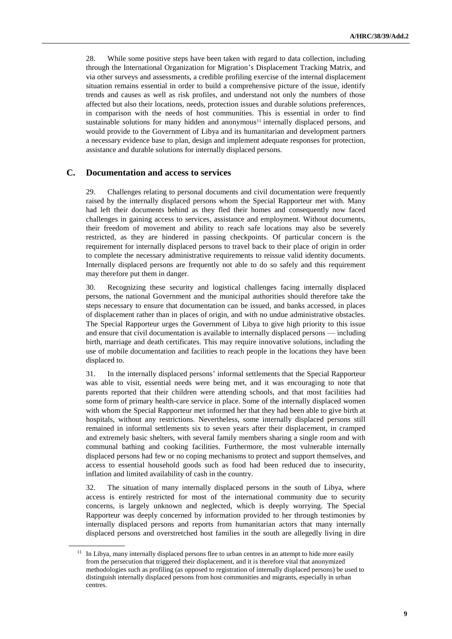28. While some positive steps have been taken with regard to data collection, including through the International Organization for Migration's Displacement Tracking Matrix, and via other surveys and assessments, a credible profiling exercise of the internal displacement situation remains essential in order to build a comprehensive picture of the issue, identify trends and causes as well as risk profiles, and understand not only the numbers of those affected but also their locations, needs, protection issues and durable solutions preferences, in comparison with the needs of host communities. This is essential in order to find sustainable solutions for many hidden and anonymous<sup>11</sup> internally displaced persons, and would provide to the Government of Libya and its humanitarian and development partners a necessary evidence base to plan, design and implement adequate responses for protection, assistance and durable solutions for internally displaced persons.

#### **C. Documentation and access to services**

29. Challenges relating to personal documents and civil documentation were frequently raised by the internally displaced persons whom the Special Rapporteur met with. Many had left their documents behind as they fled their homes and consequently now faced challenges in gaining access to services, assistance and employment. Without documents, their freedom of movement and ability to reach safe locations may also be severely restricted, as they are hindered in passing checkpoints. Of particular concern is the requirement for internally displaced persons to travel back to their place of origin in order to complete the necessary administrative requirements to reissue valid identity documents. Internally displaced persons are frequently not able to do so safely and this requirement may therefore put them in danger.

30. Recognizing these security and logistical challenges facing internally displaced persons, the national Government and the municipal authorities should therefore take the steps necessary to ensure that documentation can be issued, and banks accessed, in places of displacement rather than in places of origin, and with no undue administrative obstacles. The Special Rapporteur urges the Government of Libya to give high priority to this issue and ensure that civil documentation is available to internally displaced persons — including birth, marriage and death certificates. This may require innovative solutions, including the use of mobile documentation and facilities to reach people in the locations they have been displaced to.

31. In the internally displaced persons' informal settlements that the Special Rapporteur was able to visit, essential needs were being met, and it was encouraging to note that parents reported that their children were attending schools, and that most facilities had some form of primary health-care service in place. Some of the internally displaced women with whom the Special Rapporteur met informed her that they had been able to give birth at hospitals, without any restrictions. Nevertheless, some internally displaced persons still remained in informal settlements six to seven years after their displacement, in cramped and extremely basic shelters, with several family members sharing a single room and with communal bathing and cooking facilities. Furthermore, the most vulnerable internally displaced persons had few or no coping mechanisms to protect and support themselves, and access to essential household goods such as food had been reduced due to insecurity, inflation and limited availability of cash in the country.

32. The situation of many internally displaced persons in the south of Libya, where access is entirely restricted for most of the international community due to security concerns, is largely unknown and neglected, which is deeply worrying. The Special Rapporteur was deeply concerned by information provided to her through testimonies by internally displaced persons and reports from humanitarian actors that many internally displaced persons and overstretched host families in the south are allegedly living in dire

<sup>&</sup>lt;sup>11</sup> In Libya, many internally displaced persons flee to urban centres in an attempt to hide more easily from the persecution that triggered their displacement, and it is therefore vital that anonymized methodologies such as profiling (as opposed to registration of internally displaced persons) be used to distinguish internally displaced persons from host communities and migrants, especially in urban centres.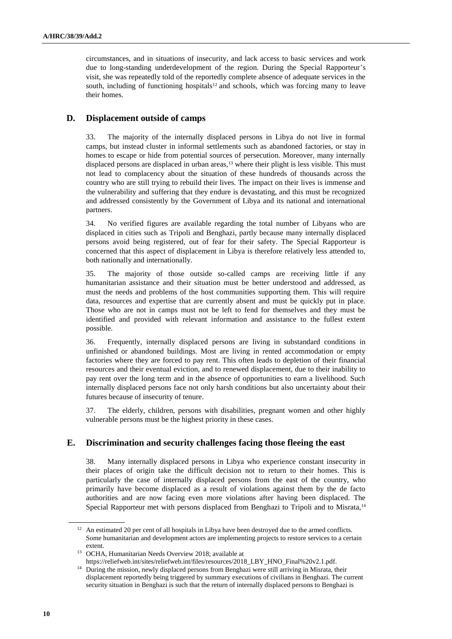circumstances, and in situations of insecurity, and lack access to basic services and work due to long-standing underdevelopment of the region. During the Special Rapporteur's visit, she was repeatedly told of the reportedly complete absence of adequate services in the south, including of functioning hospitals $12$  and schools, which was forcing many to leave their homes.

### **D. Displacement outside of camps**

33. The majority of the internally displaced persons in Libya do not live in formal camps, but instead cluster in informal settlements such as abandoned factories, or stay in homes to escape or hide from potential sources of persecution. Moreover, many internally displaced persons are displaced in urban areas,<sup>13</sup> where their plight is less visible. This must not lead to complacency about the situation of these hundreds of thousands across the country who are still trying to rebuild their lives. The impact on their lives is immense and the vulnerability and suffering that they endure is devastating, and this must be recognized and addressed consistently by the Government of Libya and its national and international partners.

34. No verified figures are available regarding the total number of Libyans who are displaced in cities such as Tripoli and Benghazi, partly because many internally displaced persons avoid being registered, out of fear for their safety. The Special Rapporteur is concerned that this aspect of displacement in Libya is therefore relatively less attended to, both nationally and internationally.

35. The majority of those outside so-called camps are receiving little if any humanitarian assistance and their situation must be better understood and addressed, as must the needs and problems of the host communities supporting them. This will require data, resources and expertise that are currently absent and must be quickly put in place. Those who are not in camps must not be left to fend for themselves and they must be identified and provided with relevant information and assistance to the fullest extent possible.

36. Frequently, internally displaced persons are living in substandard conditions in unfinished or abandoned buildings. Most are living in rented accommodation or empty factories where they are forced to pay rent. This often leads to depletion of their financial resources and their eventual eviction, and to renewed displacement, due to their inability to pay rent over the long term and in the absence of opportunities to earn a livelihood. Such internally displaced persons face not only harsh conditions but also uncertainty about their futures because of insecurity of tenure.

37. The elderly, children, persons with disabilities, pregnant women and other highly vulnerable persons must be the highest priority in these cases.

### **E. Discrimination and security challenges facing those fleeing the east**

38. Many internally displaced persons in Libya who experience constant insecurity in their places of origin take the difficult decision not to return to their homes. This is particularly the case of internally displaced persons from the east of the country, who primarily have become displaced as a result of violations against them by the de facto authorities and are now facing even more violations after having been displaced. The Special Rapporteur met with persons displaced from Benghazi to Tripoli and to Misrata,<sup>14</sup>

[https://reliefweb.int/sites/reliefweb.int/files/resources/2018\\_LBY\\_HNO\\_Final%20v2.1.pdf.](https://reliefweb.int/sites/reliefweb.int/files/resources/2018_LBY_HNO_Final%20v2.1.pdf) <sup>14</sup> During the mission, newly displaced persons from Benghazi were still arriving in Misrata, their

<sup>&</sup>lt;sup>12</sup> An estimated 20 per cent of all hospitals in Libya have been destroyed due to the armed conflicts. Some humanitarian and development actors are implementing projects to restore services to a certain extent.

<sup>13</sup> OCHA, Humanitarian Needs Overview 2018; available at

displacement reportedly being triggered by summary executions of civilians in Benghazi. The current security situation in Benghazi is such that the return of internally displaced persons to Benghazi is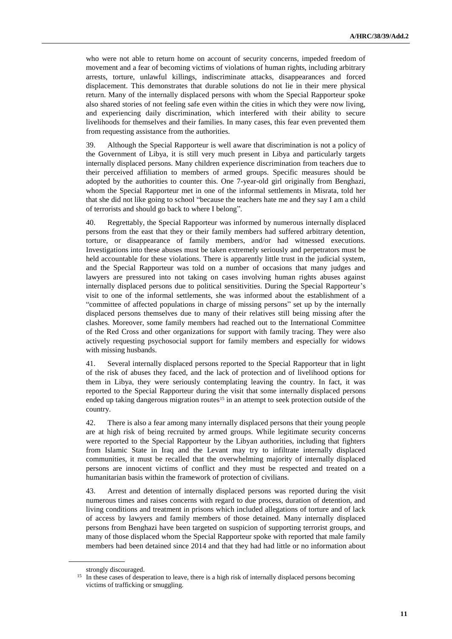who were not able to return home on account of security concerns, impeded freedom of movement and a fear of becoming victims of violations of human rights, including arbitrary arrests, torture, unlawful killings, indiscriminate attacks, disappearances and forced displacement. This demonstrates that durable solutions do not lie in their mere physical return. Many of the internally displaced persons with whom the Special Rapporteur spoke also shared stories of not feeling safe even within the cities in which they were now living, and experiencing daily discrimination, which interfered with their ability to secure livelihoods for themselves and their families. In many cases, this fear even prevented them from requesting assistance from the authorities.

39. Although the Special Rapporteur is well aware that discrimination is not a policy of the Government of Libya, it is still very much present in Libya and particularly targets internally displaced persons. Many children experience discrimination from teachers due to their perceived affiliation to members of armed groups. Specific measures should be adopted by the authorities to counter this. One 7-year-old girl originally from Benghazi, whom the Special Rapporteur met in one of the informal settlements in Misrata, told her that she did not like going to school "because the teachers hate me and they say I am a child of terrorists and should go back to where I belong".

40. Regrettably, the Special Rapporteur was informed by numerous internally displaced persons from the east that they or their family members had suffered arbitrary detention, torture, or disappearance of family members, and/or had witnessed executions. Investigations into these abuses must be taken extremely seriously and perpetrators must be held accountable for these violations. There is apparently little trust in the judicial system, and the Special Rapporteur was told on a number of occasions that many judges and lawyers are pressured into not taking on cases involving human rights abuses against internally displaced persons due to political sensitivities. During the Special Rapporteur's visit to one of the informal settlements, she was informed about the establishment of a "committee of affected populations in charge of missing persons" set up by the internally displaced persons themselves due to many of their relatives still being missing after the clashes. Moreover, some family members had reached out to the International Committee of the Red Cross and other organizations for support with family tracing. They were also actively requesting psychosocial support for family members and especially for widows with missing husbands.

41. Several internally displaced persons reported to the Special Rapporteur that in light of the risk of abuses they faced, and the lack of protection and of livelihood options for them in Libya, they were seriously contemplating leaving the country. In fact, it was reported to the Special Rapporteur during the visit that some internally displaced persons ended up taking dangerous migration routes<sup>15</sup> in an attempt to seek protection outside of the country.

42. There is also a fear among many internally displaced persons that their young people are at high risk of being recruited by armed groups. While legitimate security concerns were reported to the Special Rapporteur by the Libyan authorities, including that fighters from Islamic State in Iraq and the Levant may try to infiltrate internally displaced communities, it must be recalled that the overwhelming majority of internally displaced persons are innocent victims of conflict and they must be respected and treated on a humanitarian basis within the framework of protection of civilians.

43. Arrest and detention of internally displaced persons was reported during the visit numerous times and raises concerns with regard to due process, duration of detention, and living conditions and treatment in prisons which included allegations of torture and of lack of access by lawyers and family members of those detained. Many internally displaced persons from Benghazi have been targeted on suspicion of supporting terrorist groups, and many of those displaced whom the Special Rapporteur spoke with reported that male family members had been detained since 2014 and that they had had little or no information about

strongly discouraged.

<sup>&</sup>lt;sup>15</sup> In these cases of desperation to leave, there is a high risk of internally displaced persons becoming victims of trafficking or smuggling.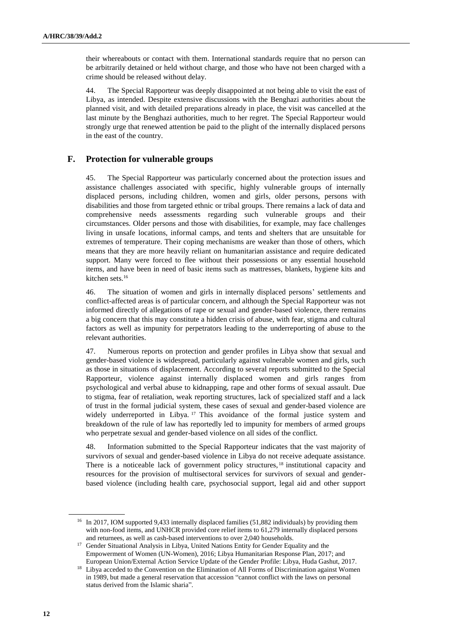their whereabouts or contact with them. International standards require that no person can be arbitrarily detained or held without charge, and those who have not been charged with a crime should be released without delay.

44. The Special Rapporteur was deeply disappointed at not being able to visit the east of Libya, as intended. Despite extensive discussions with the Benghazi authorities about the planned visit, and with detailed preparations already in place, the visit was cancelled at the last minute by the Benghazi authorities, much to her regret. The Special Rapporteur would strongly urge that renewed attention be paid to the plight of the internally displaced persons in the east of the country.

### **F. Protection for vulnerable groups**

45. The Special Rapporteur was particularly concerned about the protection issues and assistance challenges associated with specific, highly vulnerable groups of internally displaced persons, including children, women and girls, older persons, persons with disabilities and those from targeted ethnic or tribal groups. There remains a lack of data and comprehensive needs assessments regarding such vulnerable groups and their circumstances. Older persons and those with disabilities, for example, may face challenges living in unsafe locations, informal camps, and tents and shelters that are unsuitable for extremes of temperature. Their coping mechanisms are weaker than those of others, which means that they are more heavily reliant on humanitarian assistance and require dedicated support. Many were forced to flee without their possessions or any essential household items, and have been in need of basic items such as mattresses, blankets, hygiene kits and kitchen sets.<sup>16</sup>

46. The situation of women and girls in internally displaced persons' settlements and conflict-affected areas is of particular concern, and although the Special Rapporteur was not informed directly of allegations of rape or sexual and gender-based violence, there remains a big concern that this may constitute a hidden crisis of abuse, with fear, stigma and cultural factors as well as impunity for perpetrators leading to the underreporting of abuse to the relevant authorities.

47. Numerous reports on protection and gender profiles in Libya show that sexual and gender-based violence is widespread, particularly against vulnerable women and girls, such as those in situations of displacement. According to several reports submitted to the Special Rapporteur, violence against internally displaced women and girls ranges from psychological and verbal abuse to kidnapping, rape and other forms of sexual assault. Due to stigma, fear of retaliation, weak reporting structures, lack of specialized staff and a lack of trust in the formal judicial system, these cases of sexual and gender-based violence are widely underreported in Libya. <sup>17</sup> This avoidance of the formal justice system and breakdown of the rule of law has reportedly led to impunity for members of armed groups who perpetrate sexual and gender-based violence on all sides of the conflict.

48. Information submitted to the Special Rapporteur indicates that the vast majority of survivors of sexual and gender-based violence in Libya do not receive adequate assistance. There is a noticeable lack of government policy structures, <sup>18</sup> institutional capacity and resources for the provision of multisectoral services for survivors of sexual and genderbased violence (including health care, psychosocial support, legal aid and other support

<sup>&</sup>lt;sup>16</sup> In 2017, IOM supported 9,433 internally displaced families (51,882 individuals) by providing them with non-food items, and UNHCR provided core relief items to 61,279 internally displaced persons and returnees, as well as cash-based interventions to over 2,040 households.

<sup>&</sup>lt;sup>17</sup> Gender Situational Analysis in Libya, United Nations Entity for Gender Equality and the Empowerment of Women (UN-Women), 2016; Libya Humanitarian Response Plan, 2017; and European Union/External Action Service Update of the Gender Profile: Libya, Huda Gashut, 2017.

<sup>&</sup>lt;sup>18</sup> Libya acceded to the Convention on the Elimination of All Forms of Discrimination against Women in 1989, but made a general reservation that accession "cannot conflict with the laws on personal status derived from the Islamic sharia".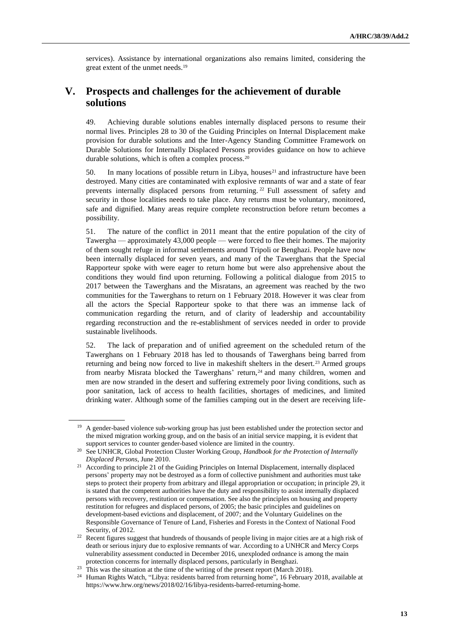services). Assistance by international organizations also remains limited, considering the great extent of the unmet needs.<sup>19</sup>

## **V. Prospects and challenges for the achievement of durable solutions**

49. Achieving durable solutions enables internally displaced persons to resume their normal lives. Principles 28 to 30 of the Guiding Principles on Internal Displacement make provision for durable solutions and the Inter-Agency Standing Committee Framework on Durable Solutions for Internally Displaced Persons provides guidance on how to achieve durable solutions, which is often a complex process.<sup>20</sup>

50. In many locations of possible return in Libya, houses<sup>21</sup> and infrastructure have been destroyed. Many cities are contaminated with explosive remnants of war and a state of fear prevents internally displaced persons from returning. <sup>22</sup> Full assessment of safety and security in those localities needs to take place. Any returns must be voluntary, monitored, safe and dignified. Many areas require complete reconstruction before return becomes a possibility.

51. The nature of the conflict in 2011 meant that the entire population of the city of Tawergha — approximately 43,000 people — were forced to flee their homes. The majority of them sought refuge in informal settlements around Tripoli or Benghazi. People have now been internally displaced for seven years, and many of the Tawerghans that the Special Rapporteur spoke with were eager to return home but were also apprehensive about the conditions they would find upon returning. Following a political dialogue from 2015 to 2017 between the Tawerghans and the Misratans, an agreement was reached by the two communities for the Tawerghans to return on 1 February 2018. However it was clear from all the actors the Special Rapporteur spoke to that there was an immense lack of communication regarding the return, and of clarity of leadership and accountability regarding reconstruction and the re-establishment of services needed in order to provide sustainable livelihoods.

52. The lack of preparation and of unified agreement on the scheduled return of the Tawerghans on 1 February 2018 has led to thousands of Tawerghans being barred from returning and being now forced to live in makeshift shelters in the desert.<sup>23</sup> Armed groups from nearby Misrata blocked the Tawerghans' return,  $^{24}$  and many children, women and men are now stranded in the desert and suffering extremely poor living conditions, such as poor sanitation, lack of access to health facilities, shortages of medicines, and limited drinking water. Although some of the families camping out in the desert are receiving life-

<sup>&</sup>lt;sup>19</sup> A gender-based violence sub-working group has just been established under the protection sector and the mixed migration working group, and on the basis of an initial service mapping, it is evident that support services to counter gender-based violence are limited in the country.

<sup>&</sup>lt;sup>20</sup> See UNHCR, Global Protection Cluster Working Group, *Handbook for the Protection of Internally Displaced Persons*, June 2010.

<sup>&</sup>lt;sup>21</sup> According to principle 21 of the Guiding Principles on Internal Displacement, internally displaced persons' property may not be destroyed as a form of collective punishment and authorities must take steps to protect their property from arbitrary and illegal appropriation or occupation; in principle 29, it is stated that the competent authorities have the duty and responsibility to assist internally displaced persons with recovery, restitution or compensation. See also the principles on housing and property restitution for refugees and displaced persons, of 2005; the basic principles and guidelines on development-based evictions and displacement, of 2007; and the Voluntary Guidelines on the Responsible Governance of Tenure of Land, Fisheries and Forests in the Context of National Food Security, of 2012.

<sup>&</sup>lt;sup>22</sup> Recent figures suggest that hundreds of thousands of people living in major cities are at a high risk of death or serious injury due to explosive remnants of war. According to a UNHCR and Mercy Corps vulnerability assessment conducted in December 2016, unexploded ordnance is among the main protection concerns for internally displaced persons, particularly in Benghazi.

<sup>&</sup>lt;sup>23</sup> This was the situation at the time of the writing of the present report (March 2018).

<sup>&</sup>lt;sup>24</sup> Human Rights Watch, "Libya: residents barred from returning home", 16 February 2018, available at [https://www.hrw.org/news/2018/02/16/libya-residents-barred-returning-home.](https://www.hrw.org/news/2018/02/16/libya-residents-barred-returning-home)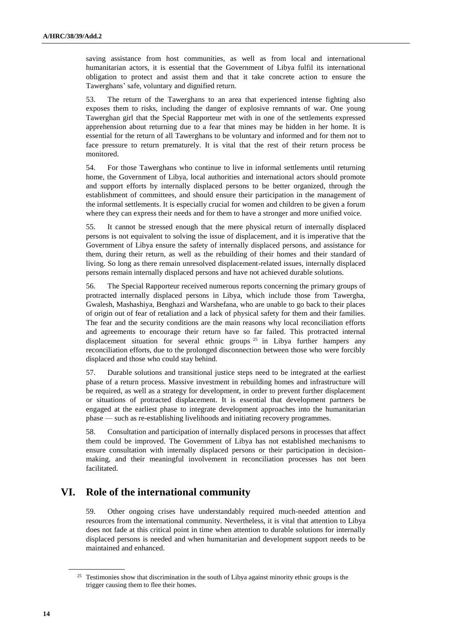saving assistance from host communities, as well as from local and international humanitarian actors, it is essential that the Government of Libya fulfil its international obligation to protect and assist them and that it take concrete action to ensure the Tawerghans' safe, voluntary and dignified return.

53. The return of the Tawerghans to an area that experienced intense fighting also exposes them to risks, including the danger of explosive remnants of war. One young Tawerghan girl that the Special Rapporteur met with in one of the settlements expressed apprehension about returning due to a fear that mines may be hidden in her home. It is essential for the return of all Tawerghans to be voluntary and informed and for them not to face pressure to return prematurely. It is vital that the rest of their return process be monitored.

54. For those Tawerghans who continue to live in informal settlements until returning home, the Government of Libya, local authorities and international actors should promote and support efforts by internally displaced persons to be better organized, through the establishment of committees, and should ensure their participation in the management of the informal settlements. It is especially crucial for women and children to be given a forum where they can express their needs and for them to have a stronger and more unified voice.

55. It cannot be stressed enough that the mere physical return of internally displaced persons is not equivalent to solving the issue of displacement, and it is imperative that the Government of Libya ensure the safety of internally displaced persons, and assistance for them, during their return, as well as the rebuilding of their homes and their standard of living. So long as there remain unresolved displacement-related issues, internally displaced persons remain internally displaced persons and have not achieved durable solutions.

56. The Special Rapporteur received numerous reports concerning the primary groups of protracted internally displaced persons in Libya, which include those from Tawergha, Gwalesh, Mashashiya, Benghazi and Warshefana, who are unable to go back to their places of origin out of fear of retaliation and a lack of physical safety for them and their families. The fear and the security conditions are the main reasons why local reconciliation efforts and agreements to encourage their return have so far failed. This protracted internal displacement situation for several ethnic groups<sup>25</sup> in Libya further hampers any reconciliation efforts, due to the prolonged disconnection between those who were forcibly displaced and those who could stay behind.

57. Durable solutions and transitional justice steps need to be integrated at the earliest phase of a return process. Massive investment in rebuilding homes and infrastructure will be required, as well as a strategy for development, in order to prevent further displacement or situations of protracted displacement. It is essential that development partners be engaged at the earliest phase to integrate development approaches into the humanitarian phase — such as re-establishing livelihoods and initiating recovery programmes.

58. Consultation and participation of internally displaced persons in processes that affect them could be improved. The Government of Libya has not established mechanisms to ensure consultation with internally displaced persons or their participation in decisionmaking, and their meaningful involvement in reconciliation processes has not been facilitated.

# **VI. Role of the international community**

59. Other ongoing crises have understandably required much-needed attention and resources from the international community. Nevertheless, it is vital that attention to Libya does not fade at this critical point in time when attention to durable solutions for internally displaced persons is needed and when humanitarian and development support needs to be maintained and enhanced.

<sup>&</sup>lt;sup>25</sup> Testimonies show that discrimination in the south of Libya against minority ethnic groups is the trigger causing them to flee their homes.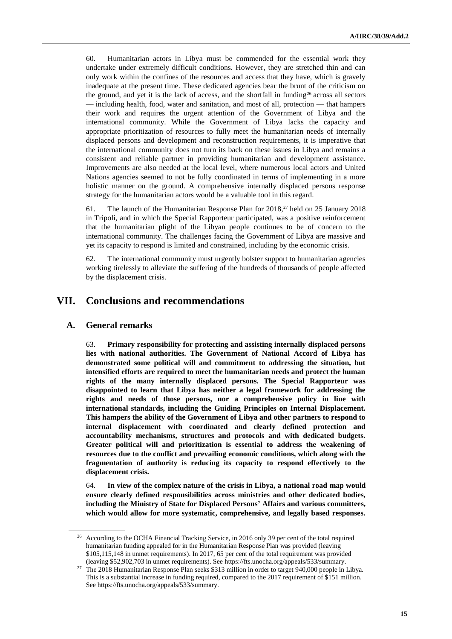60. Humanitarian actors in Libya must be commended for the essential work they undertake under extremely difficult conditions. However, they are stretched thin and can only work within the confines of the resources and access that they have, which is gravely inadequate at the present time. These dedicated agencies bear the brunt of the criticism on the ground, and yet it is the lack of access, and the shortfall in funding<sup>26</sup> across all sectors — including health, food, water and sanitation, and most of all, protection — that hampers their work and requires the urgent attention of the Government of Libya and the international community. While the Government of Libya lacks the capacity and appropriate prioritization of resources to fully meet the humanitarian needs of internally displaced persons and development and reconstruction requirements, it is imperative that the international community does not turn its back on these issues in Libya and remains a consistent and reliable partner in providing humanitarian and development assistance. Improvements are also needed at the local level, where numerous local actors and United Nations agencies seemed to not be fully coordinated in terms of implementing in a more holistic manner on the ground. A comprehensive internally displaced persons response strategy for the humanitarian actors would be a valuable tool in this regard.

61. The launch of the Humanitarian Response Plan for 2018,<sup>27</sup> held on 25 January 2018 in Tripoli, and in which the Special Rapporteur participated, was a positive reinforcement that the humanitarian plight of the Libyan people continues to be of concern to the international community. The challenges facing the Government of Libya are massive and yet its capacity to respond is limited and constrained, including by the economic crisis.

62. The international community must urgently bolster support to humanitarian agencies working tirelessly to alleviate the suffering of the hundreds of thousands of people affected by the displacement crisis.

## **VII. Conclusions and recommendations**

#### **A. General remarks**

63. **Primary responsibility for protecting and assisting internally displaced persons lies with national authorities. The Government of National Accord of Libya has demonstrated some political will and commitment to addressing the situation, but intensified efforts are required to meet the humanitarian needs and protect the human rights of the many internally displaced persons. The Special Rapporteur was disappointed to learn that Libya has neither a legal framework for addressing the rights and needs of those persons, nor a comprehensive policy in line with international standards, including the Guiding Principles on Internal Displacement. This hampers the ability of the Government of Libya and other partners to respond to internal displacement with coordinated and clearly defined protection and accountability mechanisms, structures and protocols and with dedicated budgets. Greater political will and prioritization is essential to address the weakening of resources due to the conflict and prevailing economic conditions, which along with the fragmentation of authority is reducing its capacity to respond effectively to the displacement crisis.**

64. **In view of the complex nature of the crisis in Libya, a national road map would ensure clearly defined responsibilities across ministries and other dedicated bodies, including the Ministry of State for Displaced Persons' Affairs and various committees, which would allow for more systematic, comprehensive, and legally based responses.** 

<sup>&</sup>lt;sup>26</sup> According to the OCHA Financial Tracking Service, in 2016 only 39 per cent of the total required humanitarian funding appealed for in the Humanitarian Response Plan was provided (leaving \$105,115,148 in unmet requirements). In 2017, 65 per cent of the total requirement was provided (leaving \$52,902,703 in unmet requirements). See [https://fts.unocha.org/appeals/533/summary.](https://fts.unocha.org/appeals/533/summary)

<sup>27</sup> The 2018 Humanitarian Response Plan seeks \$313 million in order to target 940,000 people in Libya. This is a substantial increase in funding required, compared to the 2017 requirement of \$151 million. Se[e https://fts.unocha.org/appeals/533/summary.](https://fts.unocha.org/appeals/533/summary)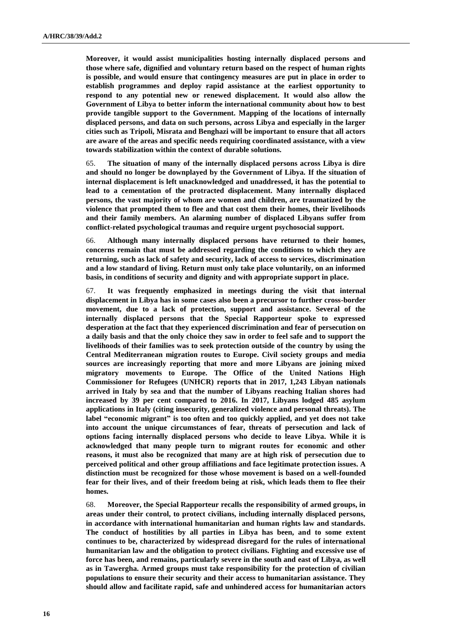**Moreover, it would assist municipalities hosting internally displaced persons and those where safe, dignified and voluntary return based on the respect of human rights is possible, and would ensure that contingency measures are put in place in order to establish programmes and deploy rapid assistance at the earliest opportunity to respond to any potential new or renewed displacement. It would also allow the Government of Libya to better inform the international community about how to best provide tangible support to the Government. Mapping of the locations of internally displaced persons, and data on such persons, across Libya and especially in the larger cities such as Tripoli, Misrata and Benghazi will be important to ensure that all actors are aware of the areas and specific needs requiring coordinated assistance, with a view towards stabilization within the context of durable solutions.**

65. **The situation of many of the internally displaced persons across Libya is dire and should no longer be downplayed by the Government of Libya. If the situation of internal displacement is left unacknowledged and unaddressed, it has the potential to lead to a cementation of the protracted displacement. Many internally displaced persons, the vast majority of whom are women and children, are traumatized by the violence that prompted them to flee and that cost them their homes, their livelihoods and their family members. An alarming number of displaced Libyans suffer from conflict-related psychological traumas and require urgent psychosocial support.**

66. **Although many internally displaced persons have returned to their homes, concerns remain that must be addressed regarding the conditions to which they are returning, such as lack of safety and security, lack of access to services, discrimination and a low standard of living. Return must only take place voluntarily, on an informed basis, in conditions of security and dignity and with appropriate support in place.**

67. **It was frequently emphasized in meetings during the visit that internal displacement in Libya has in some cases also been a precursor to further cross-border movement, due to a lack of protection, support and assistance. Several of the internally displaced persons that the Special Rapporteur spoke to expressed desperation at the fact that they experienced discrimination and fear of persecution on a daily basis and that the only choice they saw in order to feel safe and to support the livelihoods of their families was to seek protection outside of the country by using the Central Mediterranean migration routes to Europe. Civil society groups and media sources are increasingly reporting that more and more Libyans are joining mixed migratory movements to Europe. The Office of the United Nations High Commissioner for Refugees (UNHCR) reports that in 2017, 1,243 Libyan nationals arrived in Italy by sea and that the number of Libyans reaching Italian shores had increased by 39 per cent compared to 2016. In 2017, Libyans lodged 485 asylum applications in Italy (citing insecurity, generalized violence and personal threats). The label "economic migrant" is too often and too quickly applied, and yet does not take into account the unique circumstances of fear, threats of persecution and lack of options facing internally displaced persons who decide to leave Libya. While it is acknowledged that many people turn to migrant routes for economic and other reasons, it must also be recognized that many are at high risk of persecution due to perceived political and other group affiliations and face legitimate protection issues. A distinction must be recognized for those whose movement is based on a well-founded fear for their lives, and of their freedom being at risk, which leads them to flee their homes.**

68. **Moreover, the Special Rapporteur recalls the responsibility of armed groups, in areas under their control, to protect civilians, including internally displaced persons, in accordance with international humanitarian and human rights law and standards. The conduct of hostilities by all parties in Libya has been, and to some extent continues to be, characterized by widespread disregard for the rules of international humanitarian law and the obligation to protect civilians. Fighting and excessive use of force has been, and remains, particularly severe in the south and east of Libya, as well as in Tawergha. Armed groups must take responsibility for the protection of civilian populations to ensure their security and their access to humanitarian assistance. They should allow and facilitate rapid, safe and unhindered access for humanitarian actors**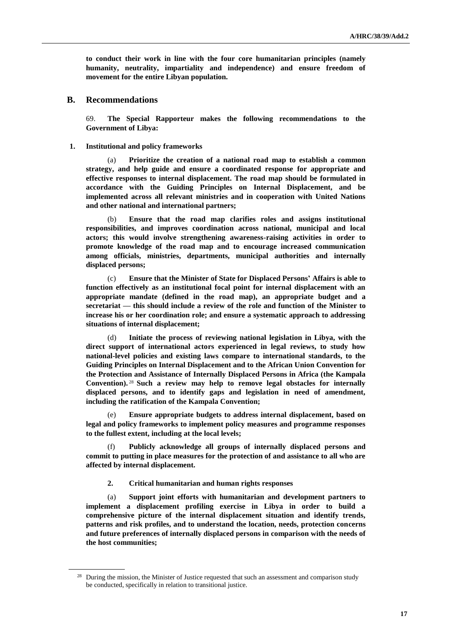**to conduct their work in line with the four core humanitarian principles (namely humanity, neutrality, impartiality and independence) and ensure freedom of movement for the entire Libyan population.**

#### **B. Recommendations**

69. **The Special Rapporteur makes the following recommendations to the Government of Libya:**

#### **1. Institutional and policy frameworks**

(a) **Prioritize the creation of a national road map to establish a common strategy, and help guide and ensure a coordinated response for appropriate and effective responses to internal displacement. The road map should be formulated in accordance with the Guiding Principles on Internal Displacement, and be implemented across all relevant ministries and in cooperation with United Nations and other national and international partners;**

(b) **Ensure that the road map clarifies roles and assigns institutional responsibilities, and improves coordination across national, municipal and local actors; this would involve strengthening awareness-raising activities in order to promote knowledge of the road map and to encourage increased communication among officials, ministries, departments, municipal authorities and internally displaced persons;**

(c) **Ensure that the Minister of State for Displaced Persons' Affairs is able to function effectively as an institutional focal point for internal displacement with an appropriate mandate (defined in the road map), an appropriate budget and a secretariat — this should include a review of the role and function of the Minister to increase his or her coordination role; and ensure a systematic approach to addressing situations of internal displacement;**

(d) **Initiate the process of reviewing national legislation in Libya, with the direct support of international actors experienced in legal reviews, to study how national-level policies and existing laws compare to international standards, to the Guiding Principles on Internal Displacement and to the African Union Convention for the Protection and Assistance of Internally Displaced Persons in Africa (the Kampala Convention).** <sup>28</sup> **Such a review may help to remove legal obstacles for internally displaced persons, and to identify gaps and legislation in need of amendment, including the ratification of the Kampala Convention;**

Ensure appropriate budgets to address internal displacement, based on **legal and policy frameworks to implement policy measures and programme responses to the fullest extent, including at the local levels;**

(f) **Publicly acknowledge all groups of internally displaced persons and commit to putting in place measures for the protection of and assistance to all who are affected by internal displacement.** 

#### **2. Critical humanitarian and human rights responses**

(a) **Support joint efforts with humanitarian and development partners to implement a displacement profiling exercise in Libya in order to build a comprehensive picture of the internal displacement situation and identify trends, patterns and risk profiles, and to understand the location, needs, protection concerns and future preferences of internally displaced persons in comparison with the needs of the host communities;**

<sup>&</sup>lt;sup>28</sup> During the mission, the Minister of Justice requested that such an assessment and comparison study be conducted, specifically in relation to transitional justice.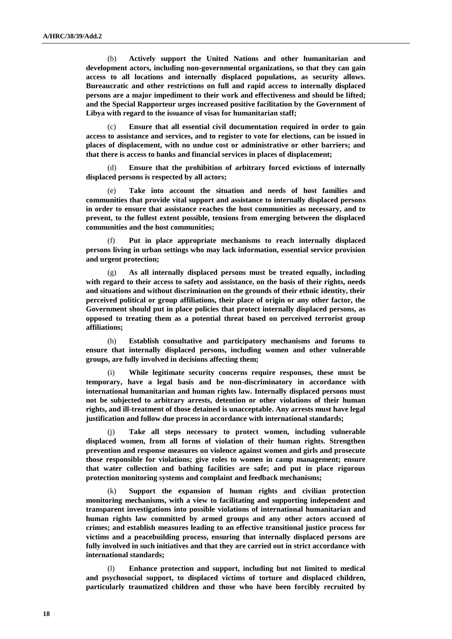(b) **Actively support the United Nations and other humanitarian and development actors, including non-governmental organizations, so that they can gain access to all locations and internally displaced populations, as security allows. Bureaucratic and other restrictions on full and rapid access to internally displaced persons are a major impediment to their work and effectiveness and should be lifted; and the Special Rapporteur urges increased positive facilitation by the Government of Libya with regard to the issuance of visas for humanitarian staff;** 

(c) **Ensure that all essential civil documentation required in order to gain access to assistance and services, and to register to vote for elections, can be issued in places of displacement, with no undue cost or administrative or other barriers; and that there is access to banks and financial services in places of displacement;**

Ensure that the prohibition of arbitrary forced evictions of internally **displaced persons is respected by all actors;**

(e) **Take into account the situation and needs of host families and communities that provide vital support and assistance to internally displaced persons in order to ensure that assistance reaches the host communities as necessary, and to prevent, to the fullest extent possible, tensions from emerging between the displaced communities and the host communities;**

(f) **Put in place appropriate mechanisms to reach internally displaced persons living in urban settings who may lack information, essential service provision and urgent protection;**

(g) **As all internally displaced persons must be treated equally, including with regard to their access to safety and assistance, on the basis of their rights, needs and situations and without discrimination on the grounds of their ethnic identity, their perceived political or group affiliations, their place of origin or any other factor, the Government should put in place policies that protect internally displaced persons, as opposed to treating them as a potential threat based on perceived terrorist group affiliations;**

(h) **Establish consultative and participatory mechanisms and forums to ensure that internally displaced persons, including women and other vulnerable groups, are fully involved in decisions affecting them;**

(i) **While legitimate security concerns require responses, these must be temporary, have a legal basis and be non-discriminatory in accordance with international humanitarian and human rights law. Internally displaced persons must not be subjected to arbitrary arrests, detention or other violations of their human rights, and ill-treatment of those detained is unacceptable. Any arrests must have legal justification and follow due process in accordance with international standards;**

(j) **Take all steps necessary to protect women, including vulnerable displaced women, from all forms of violation of their human rights. Strengthen prevention and response measures on violence against women and girls and prosecute those responsible for violations; give roles to women in camp management; ensure that water collection and bathing facilities are safe; and put in place rigorous protection monitoring systems and complaint and feedback mechanisms;** 

(k) **Support the expansion of human rights and civilian protection monitoring mechanisms, with a view to facilitating and supporting independent and transparent investigations into possible violations of international humanitarian and human rights law committed by armed groups and any other actors accused of crimes; and establish measures leading to an effective transitional justice process for victims and a peacebuilding process, ensuring that internally displaced persons are fully involved in such initiatives and that they are carried out in strict accordance with international standards;**

Enhance protection and support, including but not limited to medical **and psychosocial support, to displaced victims of torture and displaced children, particularly traumatized children and those who have been forcibly recruited by**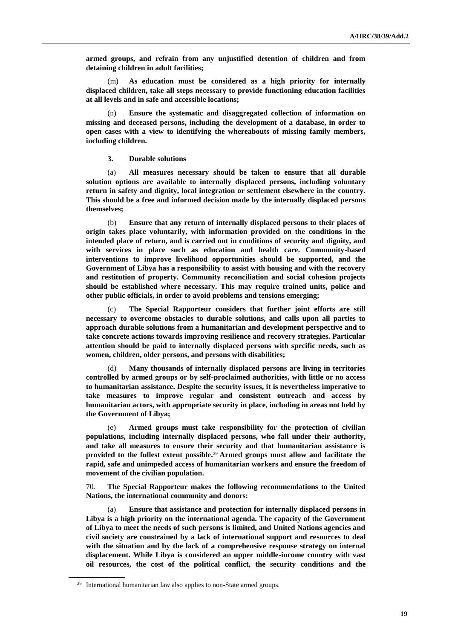**armed groups, and refrain from any unjustified detention of children and from detaining children in adult facilities;**

(m) **As education must be considered as a high priority for internally displaced children, take all steps necessary to provide functioning education facilities at all levels and in safe and accessible locations;**

(n) **Ensure the systematic and disaggregated collection of information on missing and deceased persons, including the development of a database, in order to open cases with a view to identifying the whereabouts of missing family members, including children.**

**3. Durable solutions**

(a) **All measures necessary should be taken to ensure that all durable solution options are available to internally displaced persons, including voluntary return in safety and dignity, local integration or settlement elsewhere in the country. This should be a free and informed decision made by the internally displaced persons themselves;** 

(b) **Ensure that any return of internally displaced persons to their places of origin takes place voluntarily, with information provided on the conditions in the intended place of return, and is carried out in conditions of security and dignity, and with services in place such as education and health care. Community-based interventions to improve livelihood opportunities should be supported, and the Government of Libya has a responsibility to assist with housing and with the recovery and restitution of property. Community reconciliation and social cohesion projects should be established where necessary. This may require trained units, police and other public officials, in order to avoid problems and tensions emerging;**

(c) **The Special Rapporteur considers that further joint efforts are still necessary to overcome obstacles to durable solutions, and calls upon all parties to approach durable solutions from a humanitarian and development perspective and to take concrete actions towards improving resilience and recovery strategies. Particular attention should be paid to internally displaced persons with specific needs, such as women, children, older persons, and persons with disabilities;** 

(d) **Many thousands of internally displaced persons are living in territories controlled by armed groups or by self-proclaimed authorities, with little or no access to humanitarian assistance. Despite the security issues, it is nevertheless imperative to take measures to improve regular and consistent outreach and access by humanitarian actors, with appropriate security in place, including in areas not held by the Government of Libya;**

(e) **Armed groups must take responsibility for the protection of civilian populations, including internally displaced persons, who fall under their authority, and take all measures to ensure their security and that humanitarian assistance is provided to the fullest extent possible.**<sup>29</sup> **Armed groups must allow and facilitate the rapid, safe and unimpeded access of humanitarian workers and ensure the freedom of movement of the civilian population.**

70. **The Special Rapporteur makes the following recommendations to the United Nations, the international community and donors:**

(a) **Ensure that assistance and protection for internally displaced persons in Libya is a high priority on the international agenda. The capacity of the Government of Libya to meet the needs of such persons is limited, and United Nations agencies and civil society are constrained by a lack of international support and resources to deal with the situation and by the lack of a comprehensive response strategy on internal displacement. While Libya is considered an upper middle-income country with vast oil resources, the cost of the political conflict, the security conditions and the** 

<sup>&</sup>lt;sup>29</sup> International humanitarian law also applies to non-State armed groups.